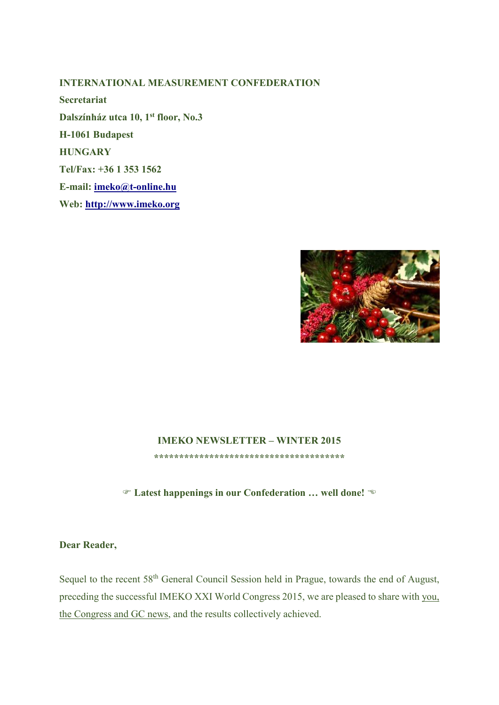## **INTERNATIONAL MEASUREMENT CONFEDERATION**

**Secretariat Dalszínház utca 10, 1st floor, No.3 H-1061 Budapest HUNGARY Tel/Fax: +36 1 353 1562 E-mail: imeko@t-online.hu Web: http://www.imeko.org**



## **IMEKO NEWSLETTER – WINTER 2015**

**\*\*\*\*\*\*\*\*\*\*\*\*\*\*\*\*\*\*\*\*\*\*\*\*\*\*\*\*\*\*\*\*\*\*\*\*\*\*** 

**Latest happenings in our Confederation … well done!**

**Dear Reader,** 

Sequel to the recent 58<sup>th</sup> General Council Session held in Prague, towards the end of August, preceding the successful IMEKO XXI World Congress 2015, we are pleased to share with you, the Congress and GC news, and the results collectively achieved.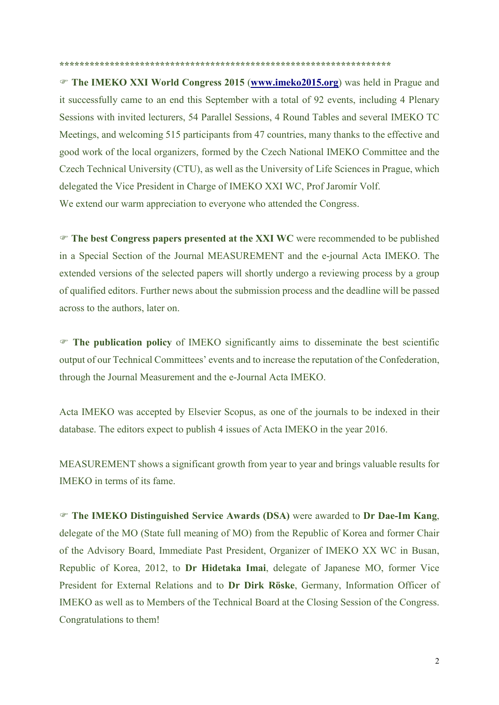**\*\*\*\*\*\*\*\*\*\*\*\*\*\*\*\*\*\*\*\*\*\*\*\*\*\*\*\*\*\*\*\*\*\*\*\*\*\*\*\*\*\*\*\*\*\*\*\*\*\*\*\*\*\*\*\*\*\*\*\*\*\*\*\*\*\*** 

 **The IMEKO XXI World Congress 2015** (**www.imeko2015.org**) was held in Prague and it successfully came to an end this September with a total of 92 events, including 4 Plenary Sessions with invited lecturers, 54 Parallel Sessions, 4 Round Tables and several IMEKO TC Meetings, and welcoming 515 participants from 47 countries, many thanks to the effective and good work of the local organizers, formed by the Czech National IMEKO Committee and the Czech Technical University (CTU), as well as the University of Life Sciences in Prague, which delegated the Vice President in Charge of IMEKO XXI WC, Prof Jaromír Volf. We extend our warm appreciation to everyone who attended the Congress.

 **The best Congress papers presented at the XXI WC** were recommended to be published in a Special Section of the Journal MEASUREMENT and the e-journal Acta IMEKO. The extended versions of the selected papers will shortly undergo a reviewing process by a group of qualified editors. Further news about the submission process and the deadline will be passed across to the authors, later on.

 **The publication policy** of IMEKO significantly aims to disseminate the best scientific output of our Technical Committees' events and to increase the reputation of the Confederation, through the Journal Measurement and the e-Journal Acta IMEKO.

Acta IMEKO was accepted by Elsevier Scopus, as one of the journals to be indexed in their database. The editors expect to publish 4 issues of Acta IMEKO in the year 2016.

MEASUREMENT shows a significant growth from year to year and brings valuable results for IMEKO in terms of its fame.

 **The IMEKO Distinguished Service Awards (DSA)** were awarded to **Dr Dae-Im Kang**, delegate of the MO (State full meaning of MO) from the Republic of Korea and former Chair of the Advisory Board, Immediate Past President, Organizer of IMEKO XX WC in Busan, Republic of Korea, 2012, to **Dr Hidetaka Imai**, delegate of Japanese MO, former Vice President for External Relations and to **Dr Dirk Röske**, Germany, Information Officer of IMEKO as well as to Members of the Technical Board at the Closing Session of the Congress. Congratulations to them!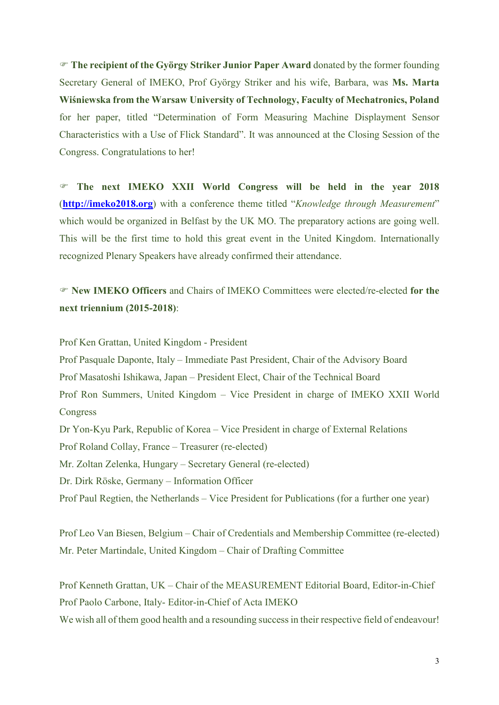**The recipient of the György Striker Junior Paper Award** donated by the former founding Secretary General of IMEKO, Prof György Striker and his wife, Barbara, was **Ms. Marta Wiśniewska from the Warsaw University of Technology, Faculty of Mechatronics, Poland** for her paper, titled "Determination of Form Measuring Machine Displayment Sensor Characteristics with a Use of Flick Standard". It was announced at the Closing Session of the Congress. Congratulations to her!

 **The next IMEKO XXII World Congress will be held in the year 2018** (**http://imeko2018.org**) with a conference theme titled "*Knowledge through Measurement*" which would be organized in Belfast by the UK MO. The preparatory actions are going well. This will be the first time to hold this great event in the United Kingdom. Internationally recognized Plenary Speakers have already confirmed their attendance.

 **New IMEKO Officers** and Chairs of IMEKO Committees were elected/re-elected **for the next triennium (2015-2018)**:

Prof Ken Grattan, United Kingdom - President

Prof Pasquale Daponte, Italy – Immediate Past President, Chair of the Advisory Board Prof Masatoshi Ishikawa, Japan – President Elect, Chair of the Technical Board Prof Ron Summers, United Kingdom – Vice President in charge of IMEKO XXII World Congress Dr Yon-Kyu Park, Republic of Korea – Vice President in charge of External Relations Prof Roland Collay, France – Treasurer (re-elected) Mr. Zoltan Zelenka, Hungary – Secretary General (re-elected) Dr. Dirk Röske, Germany – Information Officer Prof Paul Regtien, the Netherlands – Vice President for Publications (for a further one year)

Prof Leo Van Biesen, Belgium – Chair of Credentials and Membership Committee (re-elected) Mr. Peter Martindale, United Kingdom – Chair of Drafting Committee

Prof Kenneth Grattan, UK – Chair of the MEASUREMENT Editorial Board, Editor-in-Chief Prof Paolo Carbone, Italy- Editor-in-Chief of Acta IMEKO We wish all of them good health and a resounding success in their respective field of endeavour!